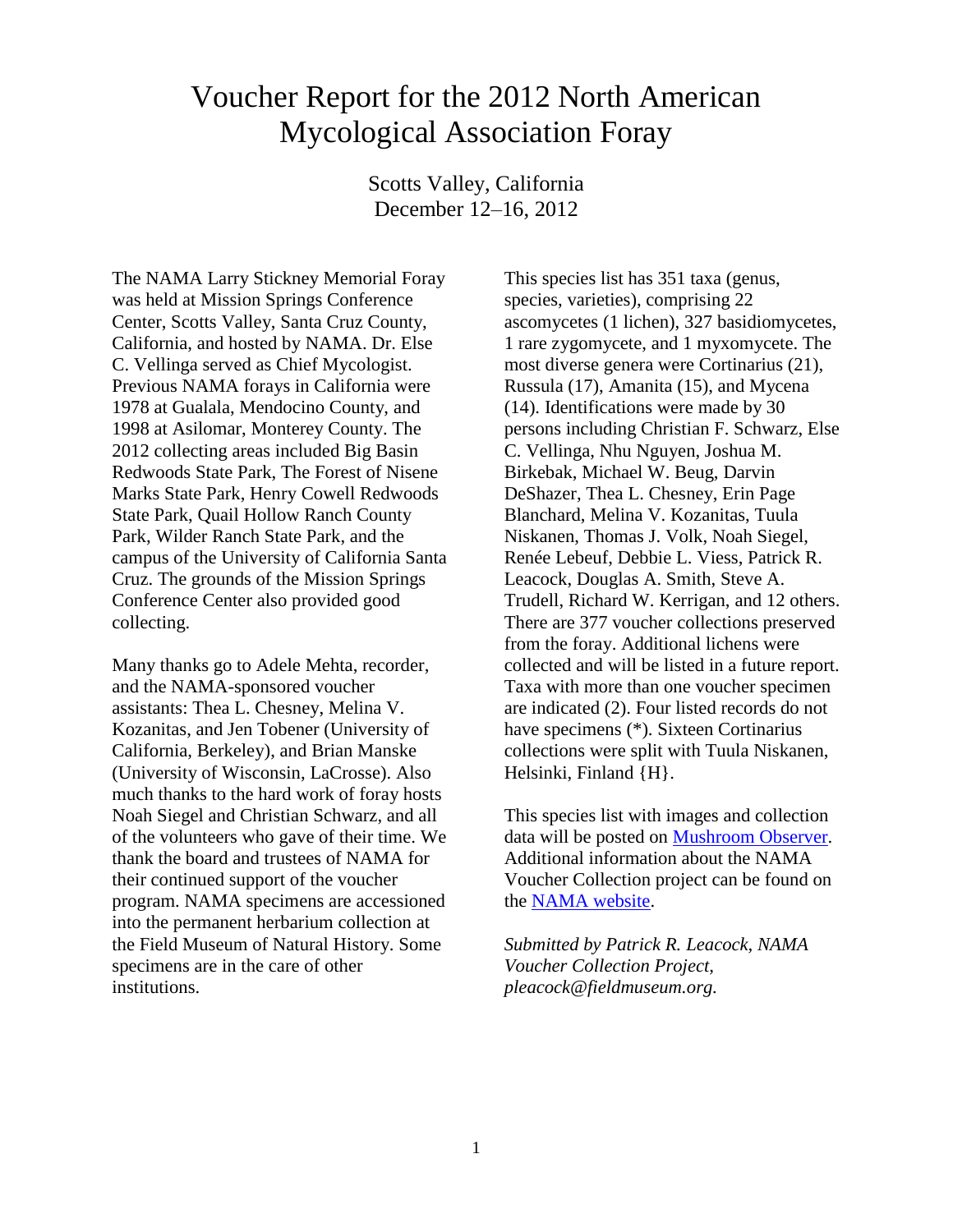## Voucher Report for the 2012 North American Mycological Association Foray

Scotts Valley, California December 12–16, 2012

The NAMA Larry Stickney Memorial Foray was held at Mission Springs Conference Center, Scotts Valley, Santa Cruz County, California, and hosted by NAMA. Dr. Else C. Vellinga served as Chief Mycologist. Previous NAMA forays in California were 1978 at Gualala, Mendocino County, and 1998 at Asilomar, Monterey County. The 2012 collecting areas included Big Basin Redwoods State Park, The Forest of Nisene Marks State Park, Henry Cowell Redwoods State Park, Quail Hollow Ranch County Park, Wilder Ranch State Park, and the campus of the University of California Santa Cruz. The grounds of the Mission Springs Conference Center also provided good collecting.

Many thanks go to Adele Mehta, recorder, and the NAMA-sponsored voucher assistants: Thea L. Chesney, Melina V. Kozanitas, and Jen Tobener (University of California, Berkeley), and Brian Manske (University of Wisconsin, LaCrosse). Also much thanks to the hard work of foray hosts Noah Siegel and Christian Schwarz, and all of the volunteers who gave of their time. We thank the board and trustees of NAMA for their continued support of the voucher program. NAMA specimens are accessioned into the permanent herbarium collection at the Field Museum of Natural History. Some specimens are in the care of other institutions.

This species list has 351 taxa (genus, species, varieties), comprising 22 ascomycetes (1 lichen), 327 basidiomycetes, 1 rare zygomycete, and 1 myxomycete. The most diverse genera were Cortinarius (21), Russula (17), Amanita (15), and Mycena (14). Identifications were made by 30 persons including Christian F. Schwarz, Else C. Vellinga, Nhu Nguyen, Joshua M. Birkebak, Michael W. Beug, Darvin DeShazer, Thea L. Chesney, Erin Page Blanchard, Melina V. Kozanitas, Tuula Niskanen, Thomas J. Volk, Noah Siegel, Renée Lebeuf, Debbie L. Viess, Patrick R. Leacock, Douglas A. Smith, Steve A. Trudell, Richard W. Kerrigan, and 12 others. There are 377 voucher collections preserved from the foray. Additional lichens were collected and will be listed in a future report. Taxa with more than one voucher specimen are indicated (2). Four listed records do not have specimens (\*). Sixteen Cortinarius collections were split with Tuula Niskanen, Helsinki, Finland {H}.

This species list with images and collection data will be posted on [Mushroom Observer.](http://mushroomobserver.org/species_list/show_species_list/321) Additional information about the NAMA Voucher Collection project can be found on the [NAMA website.](http://namyco.org/about/voucher_prj.html)

*Submitted by Patrick R. Leacock, NAMA Voucher Collection Project, pleacock@fieldmuseum.org.*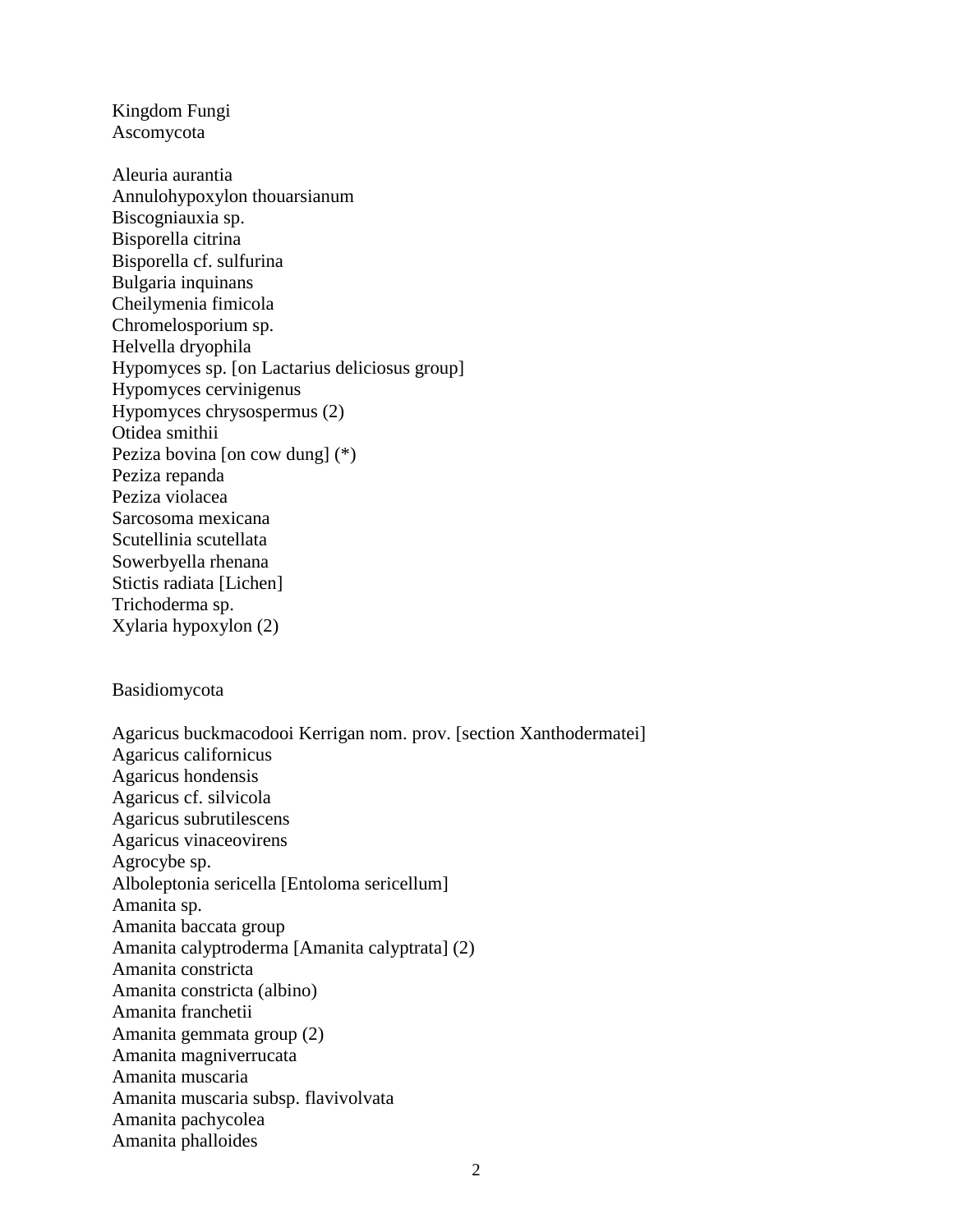Kingdom Fungi Ascomycota

Aleuria aurantia Annulohypoxylon thouarsianum Biscogniauxia sp. Bisporella citrina Bisporella cf. sulfurina Bulgaria inquinans Cheilymenia fimicola Chromelosporium sp. Helvella dryophila Hypomyces sp. [on Lactarius deliciosus group] Hypomyces cervinigenus Hypomyces chrysospermus (2) Otidea smithii Peziza bovina [on cow dung] (\*) Peziza repanda Peziza violacea Sarcosoma mexicana Scutellinia scutellata Sowerbyella rhenana Stictis radiata [Lichen] Trichoderma sp. Xylaria hypoxylon (2)

## Basidiomycota

Agaricus buckmacodooi Kerrigan nom. prov. [section Xanthodermatei] Agaricus californicus Agaricus hondensis Agaricus cf. silvicola Agaricus subrutilescens Agaricus vinaceovirens Agrocybe sp. Alboleptonia sericella [Entoloma sericellum] Amanita sp. Amanita baccata group Amanita calyptroderma [Amanita calyptrata] (2) Amanita constricta Amanita constricta (albino) Amanita franchetii Amanita gemmata group (2) Amanita magniverrucata Amanita muscaria Amanita muscaria subsp. flavivolvata Amanita pachycolea Amanita phalloides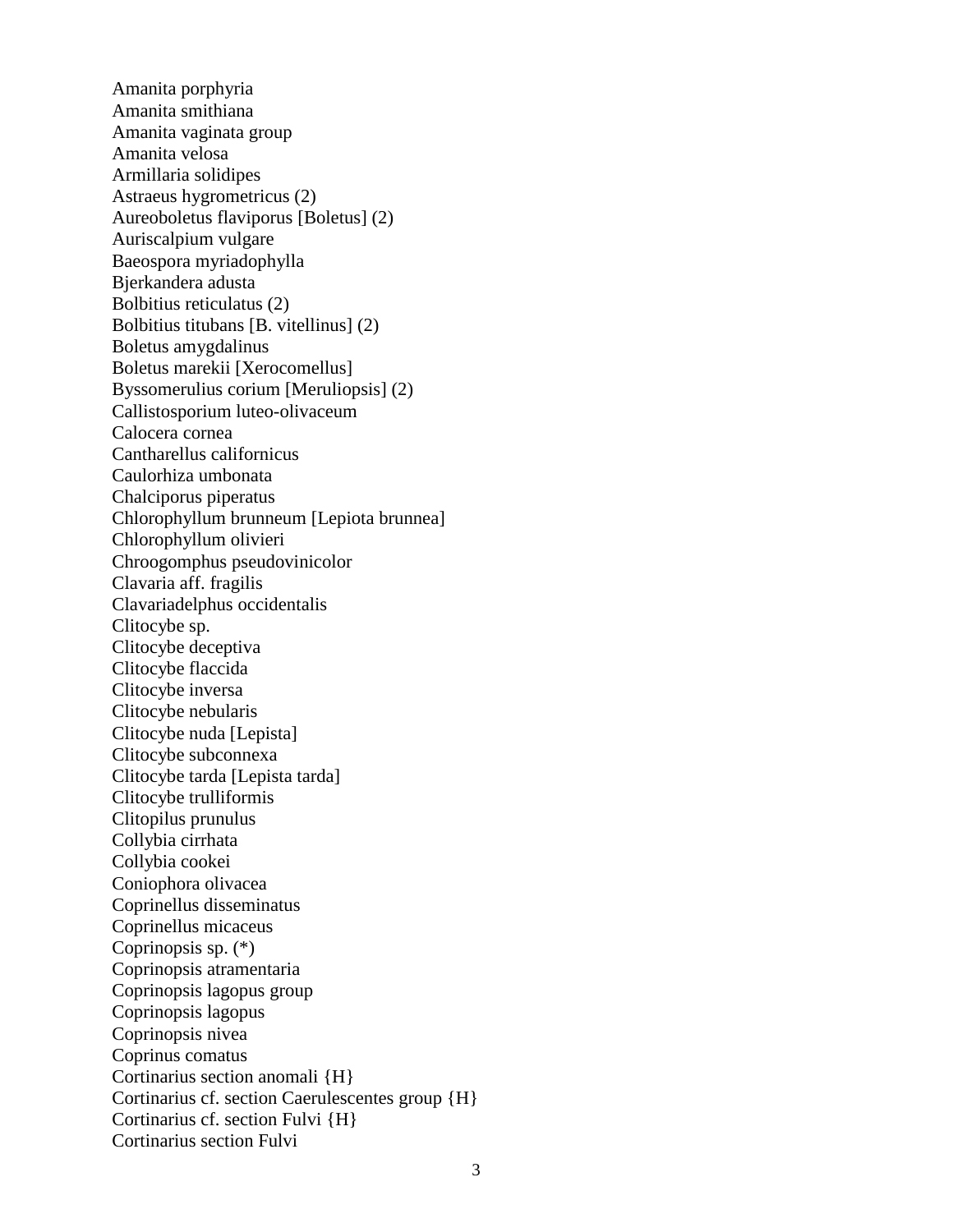Amanita porphyria Amanita smithiana Amanita vaginata group Amanita velosa Armillaria solidipes Astraeus hygrometricus (2) Aureoboletus flaviporus [Boletus] (2) Auriscalpium vulgare Baeospora myriadophylla Bjerkandera adusta Bolbitius reticulatus (2) Bolbitius titubans [B. vitellinus] (2) Boletus amygdalinus Boletus marekii [Xerocomellus] Byssomerulius corium [Meruliopsis] (2) Callistosporium luteo-olivaceum Calocera cornea Cantharellus californicus Caulorhiza umbonata Chalciporus piperatus Chlorophyllum brunneum [Lepiota brunnea] Chlorophyllum olivieri Chroogomphus pseudovinicolor Clavaria aff. fragilis Clavariadelphus occidentalis Clitocybe sp. Clitocybe deceptiva Clitocybe flaccida Clitocybe inversa Clitocybe nebularis Clitocybe nuda [Lepista] Clitocybe subconnexa Clitocybe tarda [Lepista tarda] Clitocybe trulliformis Clitopilus prunulus Collybia cirrhata Collybia cookei Coniophora olivacea Coprinellus disseminatus Coprinellus micaceus Coprinopsis sp. (\*) Coprinopsis atramentaria Coprinopsis lagopus group Coprinopsis lagopus Coprinopsis nivea Coprinus comatus Cortinarius section anomali {H} Cortinarius cf. section Caerulescentes group {H} Cortinarius cf. section Fulvi {H} Cortinarius section Fulvi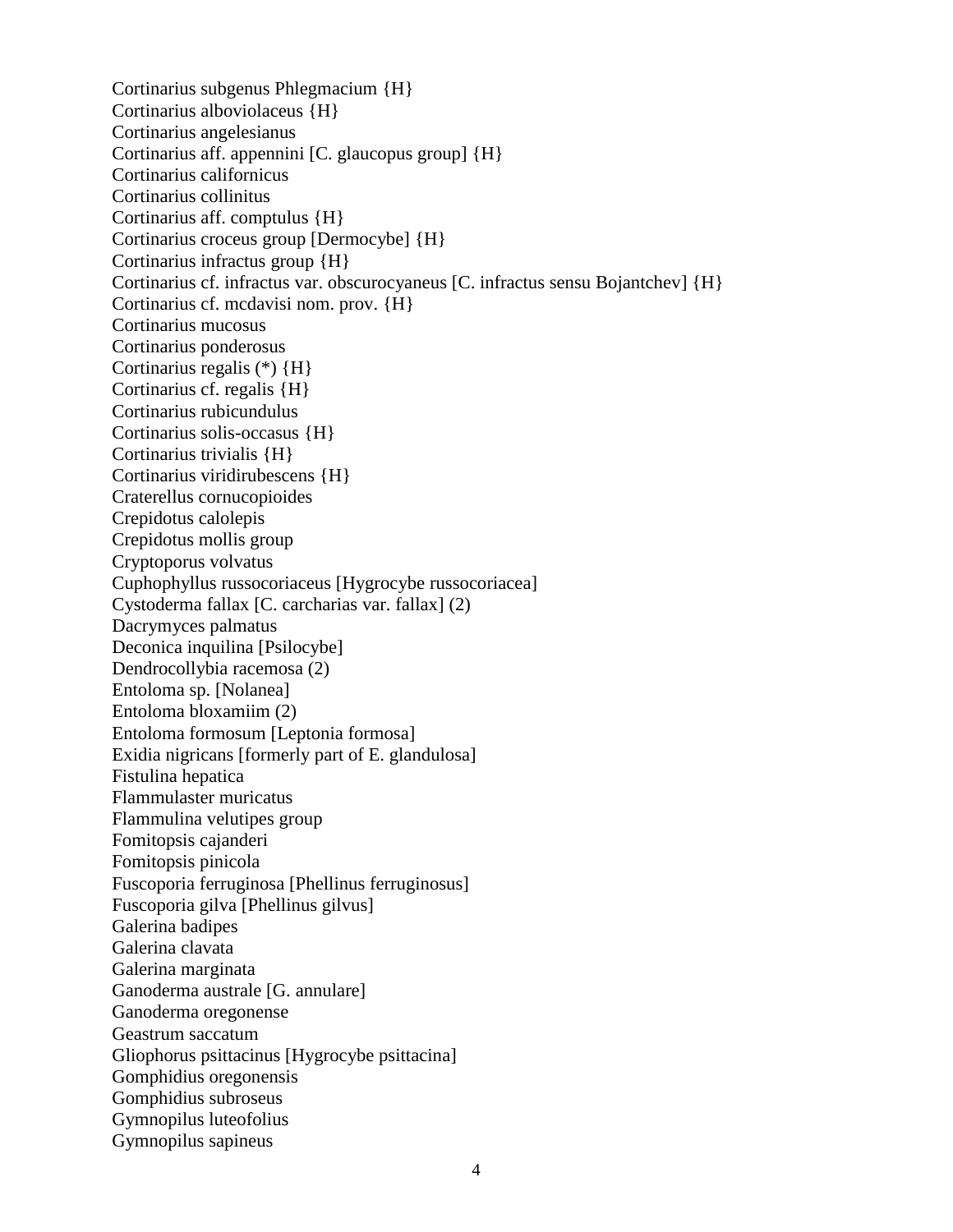Cortinarius subgenus Phlegmacium {H} Cortinarius alboviolaceus {H} Cortinarius angelesianus Cortinarius aff. appennini [C. glaucopus group] {H} Cortinarius californicus Cortinarius collinitus Cortinarius aff. comptulus {H} Cortinarius croceus group [Dermocybe] {H} Cortinarius infractus group {H} Cortinarius cf. infractus var. obscurocyaneus [C. infractus sensu Bojantchev] {H} Cortinarius cf. mcdavisi nom. prov. {H} Cortinarius mucosus Cortinarius ponderosus Cortinarius regalis (\*) {H} Cortinarius cf. regalis {H} Cortinarius rubicundulus Cortinarius solis-occasus {H} Cortinarius trivialis {H} Cortinarius viridirubescens {H} Craterellus cornucopioides Crepidotus calolepis Crepidotus mollis group Cryptoporus volvatus Cuphophyllus russocoriaceus [Hygrocybe russocoriacea] Cystoderma fallax [C. carcharias var. fallax] (2) Dacrymyces palmatus Deconica inquilina [Psilocybe] Dendrocollybia racemosa (2) Entoloma sp. [Nolanea] Entoloma bloxamiim (2) Entoloma formosum [Leptonia formosa] Exidia nigricans [formerly part of E. glandulosa] Fistulina hepatica Flammulaster muricatus Flammulina velutipes group Fomitopsis cajanderi Fomitopsis pinicola Fuscoporia ferruginosa [Phellinus ferruginosus] Fuscoporia gilva [Phellinus gilvus] Galerina badipes Galerina clavata Galerina marginata Ganoderma australe [G. annulare] Ganoderma oregonense Geastrum saccatum Gliophorus psittacinus [Hygrocybe psittacina] Gomphidius oregonensis Gomphidius subroseus Gymnopilus luteofolius Gymnopilus sapineus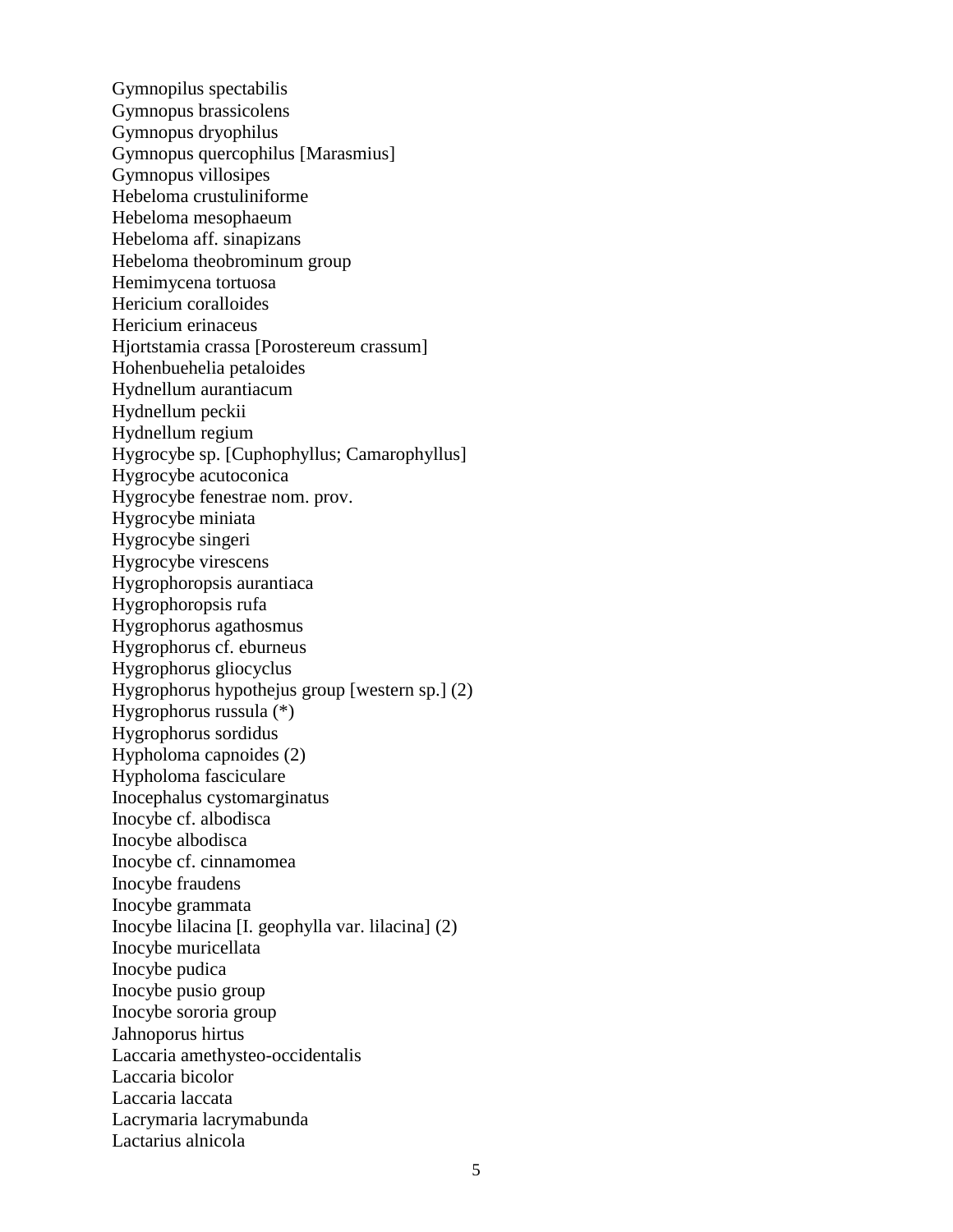Gymnopilus spectabilis Gymnopus brassicolens Gymnopus dryophilus Gymnopus quercophilus [Marasmius] Gymnopus villosipes Hebeloma crustuliniforme Hebeloma mesophaeum Hebeloma aff. sinapizans Hebeloma theobrominum group Hemimycena tortuosa Hericium coralloides Hericium erinaceus Hjortstamia crassa [Porostereum crassum] Hohenbuehelia petaloides Hydnellum aurantiacum Hydnellum peckii Hydnellum regium Hygrocybe sp. [Cuphophyllus; Camarophyllus] Hygrocybe acutoconica Hygrocybe fenestrae nom. prov. Hygrocybe miniata Hygrocybe singeri Hygrocybe virescens Hygrophoropsis aurantiaca Hygrophoropsis rufa Hygrophorus agathosmus Hygrophorus cf. eburneus Hygrophorus gliocyclus Hygrophorus hypothejus group [western sp.] (2) Hygrophorus russula (\*) Hygrophorus sordidus Hypholoma capnoides (2) Hypholoma fasciculare Inocephalus cystomarginatus Inocybe cf. albodisca Inocybe albodisca Inocybe cf. cinnamomea Inocybe fraudens Inocybe grammata Inocybe lilacina [I. geophylla var. lilacina] (2) Inocybe muricellata Inocybe pudica Inocybe pusio group Inocybe sororia group Jahnoporus hirtus Laccaria amethysteo-occidentalis Laccaria bicolor Laccaria laccata Lacrymaria lacrymabunda Lactarius alnicola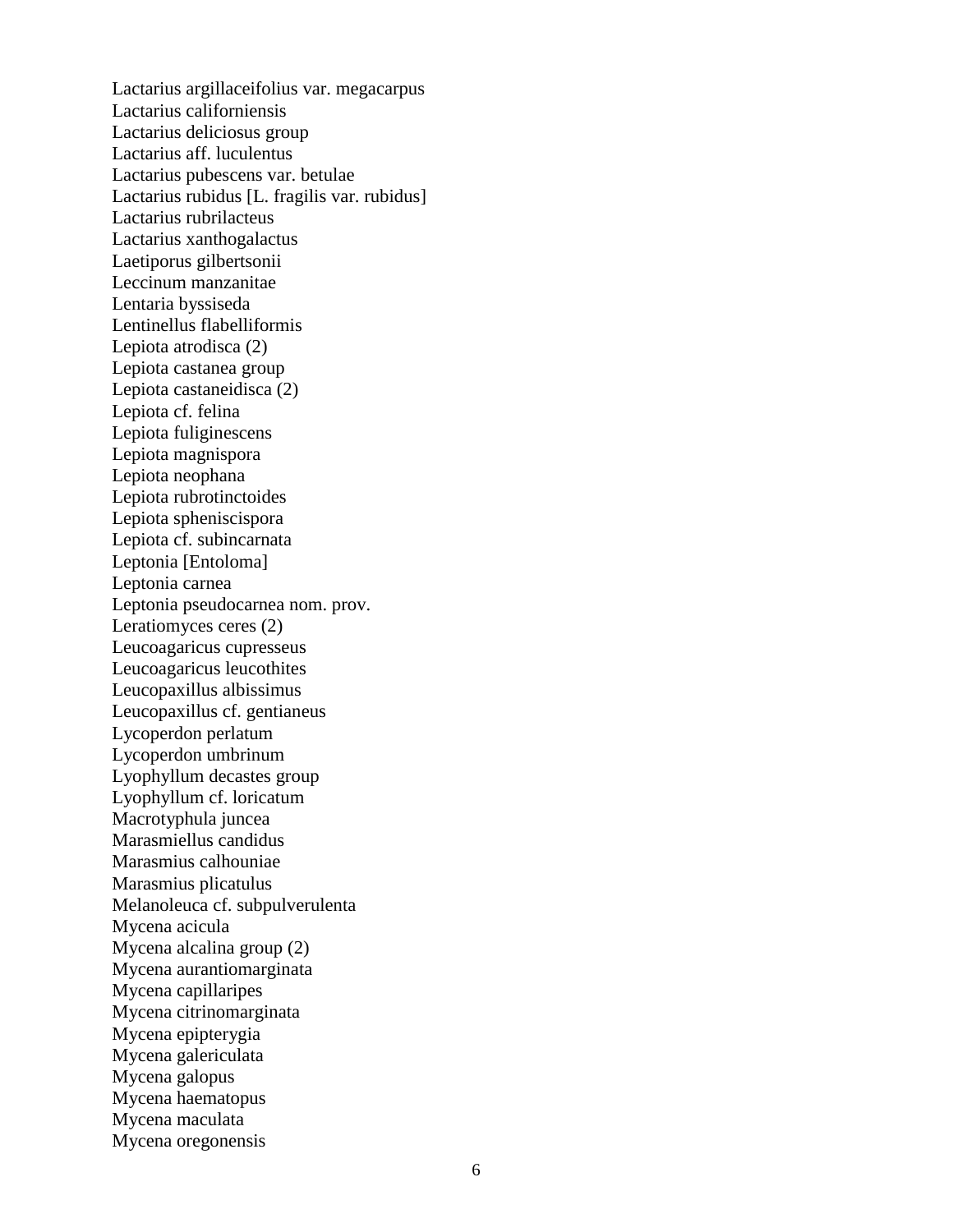Lactarius argillaceifolius var. megacarpus Lactarius californiensis Lactarius deliciosus group Lactarius aff. luculentus Lactarius pubescens var. betulae Lactarius rubidus [L. fragilis var. rubidus] Lactarius rubrilacteus Lactarius xanthogalactus Laetiporus gilbertsonii Leccinum manzanitae Lentaria byssiseda Lentinellus flabelliformis Lepiota atrodisca (2) Lepiota castanea group Lepiota castaneidisca (2) Lepiota cf. felina Lepiota fuliginescens Lepiota magnispora Lepiota neophana Lepiota rubrotinctoides Lepiota spheniscispora Lepiota cf. subincarnata Leptonia [Entoloma] Leptonia carnea Leptonia pseudocarnea nom. prov. Leratiomyces ceres (2) Leucoagaricus cupresseus Leucoagaricus leucothites Leucopaxillus albissimus Leucopaxillus cf. gentianeus Lycoperdon perlatum Lycoperdon umbrinum Lyophyllum decastes group Lyophyllum cf. loricatum Macrotyphula juncea Marasmiellus candidus Marasmius calhouniae Marasmius plicatulus Melanoleuca cf. subpulverulenta Mycena acicula Mycena alcalina group (2) Mycena aurantiomarginata Mycena capillaripes Mycena citrinomarginata Mycena epipterygia Mycena galericulata Mycena galopus Mycena haematopus Mycena maculata Mycena oregonensis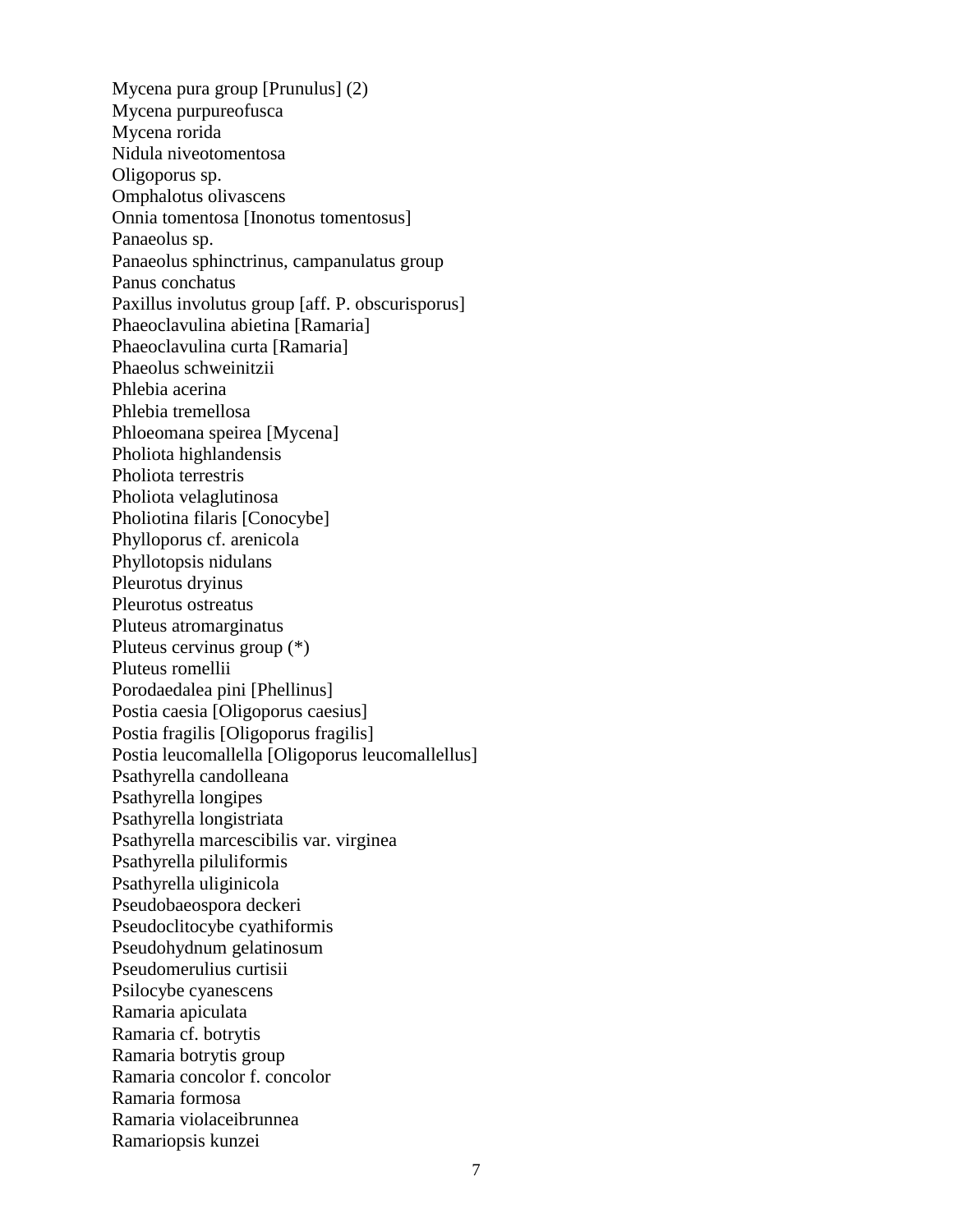Mycena pura group [Prunulus] (2) Mycena purpureofusca Mycena rorida Nidula niveotomentosa Oligoporus sp. Omphalotus olivascens Onnia tomentosa [Inonotus tomentosus] Panaeolus sp. Panaeolus sphinctrinus, campanulatus group Panus conchatus Paxillus involutus group [aff. P. obscurisporus] Phaeoclavulina abietina [Ramaria] Phaeoclavulina curta [Ramaria] Phaeolus schweinitzii Phlebia acerina Phlebia tremellosa Phloeomana speirea [Mycena] Pholiota highlandensis Pholiota terrestris Pholiota velaglutinosa Pholiotina filaris [Conocybe] Phylloporus cf. arenicola Phyllotopsis nidulans Pleurotus dryinus Pleurotus ostreatus Pluteus atromarginatus Pluteus cervinus group (\*) Pluteus romellii Porodaedalea pini [Phellinus] Postia caesia [Oligoporus caesius] Postia fragilis [Oligoporus fragilis] Postia leucomallella [Oligoporus leucomallellus] Psathyrella candolleana Psathyrella longipes Psathyrella longistriata Psathyrella marcescibilis var. virginea Psathyrella piluliformis Psathyrella uliginicola Pseudobaeospora deckeri Pseudoclitocybe cyathiformis Pseudohydnum gelatinosum Pseudomerulius curtisii Psilocybe cyanescens Ramaria apiculata Ramaria cf. botrytis Ramaria botrytis group Ramaria concolor f. concolor Ramaria formosa Ramaria violaceibrunnea Ramariopsis kunzei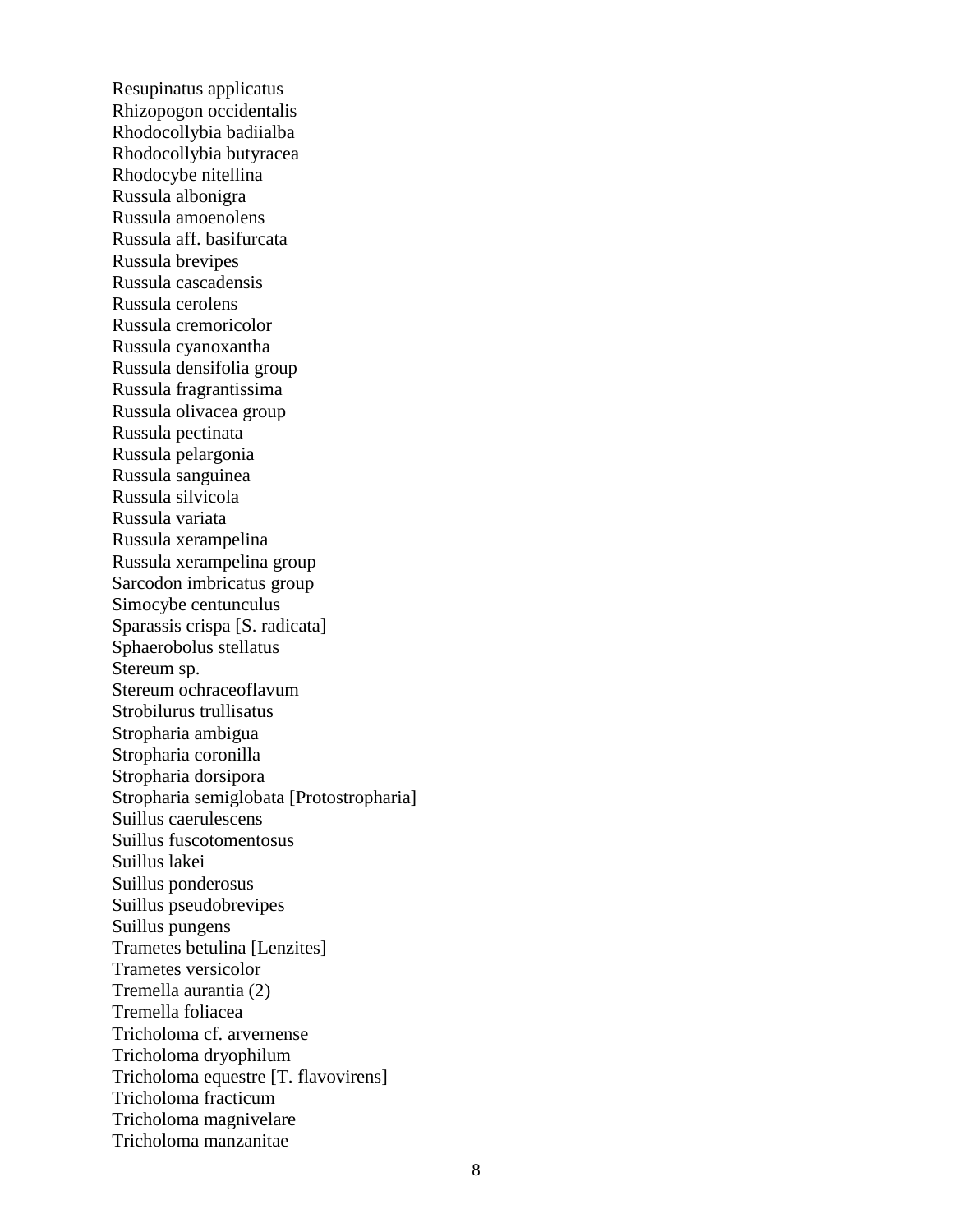Resupinatus applicatus Rhizopogon occidentalis Rhodocollybia badiialba Rhodocollybia butyracea Rhodocybe nitellina Russula albonigra Russula amoenolens Russula aff. basifurcata Russula brevipes Russula cascadensis Russula cerolens Russula cremoricolor Russula cyanoxantha Russula densifolia group Russula fragrantissima Russula olivacea group Russula pectinata Russula pelargonia Russula sanguinea Russula silvicola Russula variata Russula xerampelina Russula xerampelina group Sarcodon imbricatus group Simocybe centunculus Sparassis crispa [S. radicata] Sphaerobolus stellatus Stereum sp. Stereum ochraceoflavum Strobilurus trullisatus Stropharia ambigua Stropharia coronilla Stropharia dorsipora Stropharia semiglobata [Protostropharia] Suillus caerulescens Suillus fuscotomentosus Suillus lakei Suillus ponderosus Suillus pseudobrevipes Suillus pungens Trametes betulina [Lenzites] Trametes versicolor Tremella aurantia (2) Tremella foliacea Tricholoma cf. arvernense Tricholoma dryophilum Tricholoma equestre [T. flavovirens] Tricholoma fracticum Tricholoma magnivelare Tricholoma manzanitae